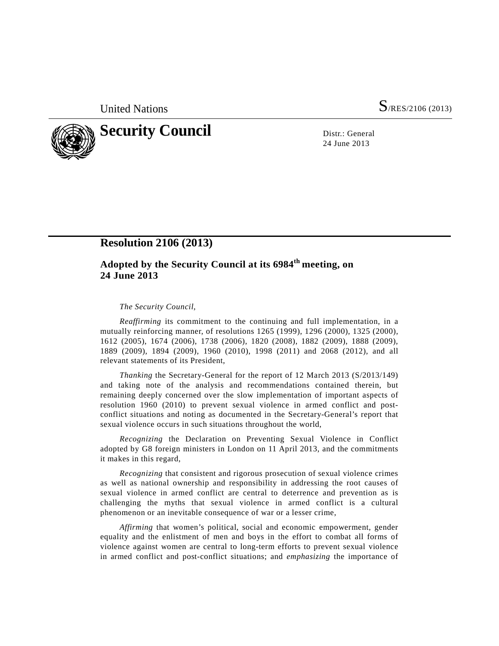United Nations S/RES/2106 (2013)



24 June 2013

## **Resolution 2106 (2013)**

## **Adopted by the Security Council at its 6984th meeting, on 24 June 2013**

*The Security Council*,

*Reaffirming* its commitment to the continuing and full implementation, in a mutually reinforcing manner, of resolutions 1265 (1999), 1296 (2000), 1325 (2000), 1612 (2005), 1674 (2006), 1738 (2006), 1820 (2008), 1882 (2009), 1888 (2009), 1889 (2009), 1894 (2009), 1960 (2010), 1998 (2011) and 2068 (2012), and all relevant statements of its President,

*Thanking* the Secretary-General for the report of 12 March 2013 (S/2013/149) and taking note of the analysis and recommendations contained therein, but remaining deeply concerned over the slow implementation of important aspects of resolution 1960 (2010) to prevent sexual violence in armed conflict and postconflict situations and noting as documented in the Secretary-General's report that sexual violence occurs in such situations throughout the world,

*Recognizing* the Declaration on Preventing Sexual Violence in Conflict adopted by G8 foreign ministers in London on 11 April 2013, and the commitments it makes in this regard,

*Recognizing* that consistent and rigorous prosecution of sexual violence crimes as well as national ownership and responsibility in addressing the root causes of sexual violence in armed conflict are central to deterrence and prevention as is challenging the myths that sexual violence in armed conflict is a cultural phenomenon or an inevitable consequence of war or a lesser crime,

*Affirming* that women's political, social and economic empowerment, gender equality and the enlistment of men and boys in the effort to combat all forms of violence against women are central to long-term efforts to prevent sexual violence in armed conflict and post-conflict situations; and *emphasizing* the importance of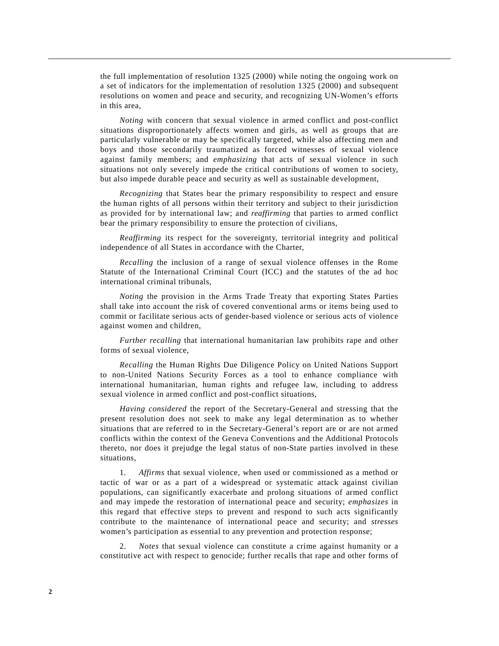the full implementation of resolution 1325 (2000) while noting the ongoing work on a set of indicators for the implementation of resolution 1325 (2000) and subsequent resolutions on women and peace and security, and recognizing UN-Women's efforts in this area,

*Noting* with concern that sexual violence in armed conflict and post-conflict situations disproportionately affects women and girls, as well as groups that are particularly vulnerable or may be specifically targeted, while also affecting men and boys and those secondarily traumatized as forced witnesses of sexual violence against family members; and *emphasizing* that acts of sexual violence in such situations not only severely impede the critical contributions of women to society, but also impede durable peace and security as well as sustainable development,

*Recognizing* that States bear the primary responsibility to respect and ensure the human rights of all persons within their territory and subject to their jurisdiction as provided for by international law; and *reaffirming* that parties to armed conflict bear the primary responsibility to ensure the protection of civilians,

*Reaffirming* its respect for the sovereignty, territorial integrity and political independence of all States in accordance with the Charter,

*Recalling* the inclusion of a range of sexual violence offenses in the Rome Statute of the International Criminal Court (ICC) and the statutes of the ad hoc international criminal tribunals,

*Noting* the provision in the Arms Trade Treaty that exporting States Parties shall take into account the risk of covered conventional arms or items being used to commit or facilitate serious acts of gender-based violence or serious acts of violence against women and children,

*Further recalling* that international humanitarian law prohibits rape and other forms of sexual violence,

*Recalling* the Human Rights Due Diligence Policy on United Nations Support to non-United Nations Security Forces as a tool to enhance compliance with international humanitarian, human rights and refugee law, including to address sexual violence in armed conflict and post-conflict situations,

*Having considered* the report of the Secretary-General and stressing that the present resolution does not seek to make any legal determination as to whether situations that are referred to in the Secretary-General's report are or are not armed conflicts within the context of the Geneva Conventions and the Additional Protocols thereto, nor does it prejudge the legal status of non-State parties involved in these situations,

 1. *Affirms* that sexual violence, when used or commissioned as a method or tactic of war or as a part of a widespread or systematic attack against civilian populations, can significantly exacerbate and prolong situations of armed conflict and may impede the restoration of international peace and security; *emphasizes* in this regard that effective steps to prevent and respond to such acts significantly contribute to the maintenance of international peace and security; and *stresses* women's participation as essential to any prevention and protection response;

 2. *Notes* that sexual violence can constitute a crime against humanity or a constitutive act with respect to genocide; further recalls that rape and other forms of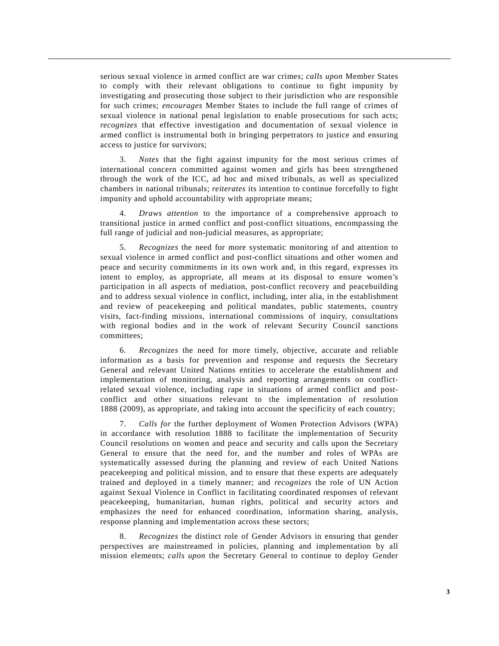serious sexual violence in armed conflict are war crimes; *calls upon* Member States to comply with their relevant obligations to continue to fight impunity by investigating and prosecuting those subject to their jurisdiction who are responsible for such crimes; *encourages* Member States to include the full range of crimes of sexual violence in national penal legislation to enable prosecutions for such acts; *recognizes* that effective investigation and documentation of sexual violence in armed conflict is instrumental both in bringing perpetrators to justice and ensuring access to justice for survivors;

 3. *Notes* that the fight against impunity for the most serious crimes of international concern committed against women and girls has been strengthened through the work of the ICC, ad hoc and mixed tribunals, as well as specialized chambers in national tribunals; *reiterates* its intention to continue forcefully to fight impunity and uphold accountability with appropriate means;

 4. *Draws attention* to the importance of a comprehensive approach to transitional justice in armed conflict and post-conflict situations, encompassing the full range of judicial and non-judicial measures, as appropriate;

 5. *Recognizes* the need for more systematic monitoring of and attention to sexual violence in armed conflict and post-conflict situations and other women and peace and security commitments in its own work and, in this regard, expresses its intent to employ, as appropriate, all means at its disposal to ensure women's participation in all aspects of mediation, post-conflict recovery and peacebuilding and to address sexual violence in conflict, including, inter alia, in the establishment and review of peacekeeping and political mandates, public statements, country visits, fact-finding missions, international commissions of inquiry, consultations with regional bodies and in the work of relevant Security Council sanctions committees;

 6. *Recognizes* the need for more timely, objective, accurate and reliable information as a basis for prevention and response and requests the Secretary General and relevant United Nations entities to accelerate the establishment and implementation of monitoring, analysis and reporting arrangements on conflictrelated sexual violence, including rape in situations of armed conflict and postconflict and other situations relevant to the implementation of resolution 1888 (2009), as appropriate, and taking into account the specificity of each country;

 7. *Calls for* the further deployment of Women Protection Advisors (WPA) in accordance with resolution 1888 to facilitate the implementation of Security Council resolutions on women and peace and security and calls upon the Secretary General to ensure that the need for, and the number and roles of WPAs are systematically assessed during the planning and review of each United Nations peacekeeping and political mission, and to ensure that these experts are adequately trained and deployed in a timely manner; and *recognizes* the role of UN Action against Sexual Violence in Conflict in facilitating coordinated responses of relevant peacekeeping, humanitarian, human rights, political and security actors and emphasizes the need for enhanced coordination, information sharing, analysis, response planning and implementation across these sectors;

 8. *Recognizes* the distinct role of Gender Advisors in ensuring that gender perspectives are mainstreamed in policies, planning and implementation by all mission elements; *calls upon* the Secretary General to continue to deploy Gender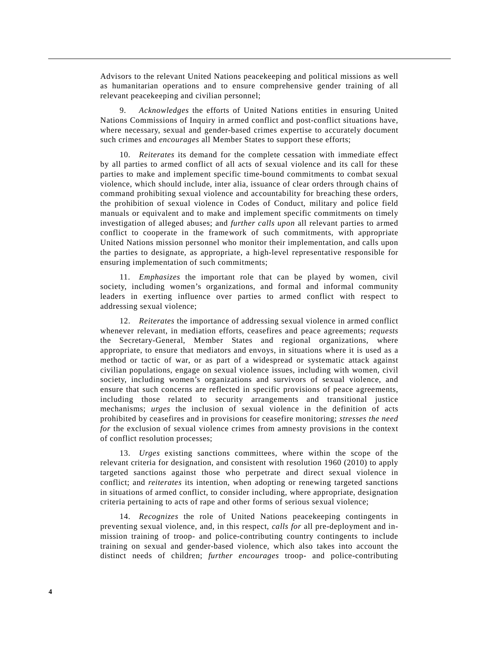Advisors to the relevant United Nations peacekeeping and political missions as well as humanitarian operations and to ensure comprehensive gender training of all relevant peacekeeping and civilian personnel;

 9. *Acknowledges* the efforts of United Nations entities in ensuring United Nations Commissions of Inquiry in armed conflict and post-conflict situations have, where necessary, sexual and gender-based crimes expertise to accurately document such crimes and *encourages* all Member States to support these efforts;

 10. *Reiterates* its demand for the complete cessation with immediate effect by all parties to armed conflict of all acts of sexual violence and its call for these parties to make and implement specific time-bound commitments to combat sexual violence, which should include, inter alia, issuance of clear orders through chains of command prohibiting sexual violence and accountability for breaching these orders, the prohibition of sexual violence in Codes of Conduct, military and police field manuals or equivalent and to make and implement specific commitments on timely investigation of alleged abuses; and *further calls upon* all relevant parties to armed conflict to cooperate in the framework of such commitments, with appropriate United Nations mission personnel who monitor their implementation, and calls upon the parties to designate, as appropriate, a high-level representative responsible for ensuring implementation of such commitments;

 11. *Emphasizes* the important role that can be played by women, civil society, including women's organizations, and formal and informal community leaders in exerting influence over parties to armed conflict with respect to addressing sexual violence;

 12. *Reiterates* the importance of addressing sexual violence in armed conflict whenever relevant, in mediation efforts, ceasefires and peace agreements; *requests* the Secretary-General, Member States and regional organizations, where appropriate, to ensure that mediators and envoys, in situations where it is used as a method or tactic of war, or as part of a widespread or systematic attack against civilian populations, engage on sexual violence issues, including with women, civil society, including women's organizations and survivors of sexual violence, and ensure that such concerns are reflected in specific provisions of peace agreements, including those related to security arrangements and transitional justice mechanisms; *urges* the inclusion of sexual violence in the definition of acts prohibited by ceasefires and in provisions for ceasefire monitoring; *stresses the need for* the exclusion of sexual violence crimes from amnesty provisions in the context of conflict resolution processes;

 13. *Urges* existing sanctions committees, where within the scope of the relevant criteria for designation, and consistent with resolution 1960 (2010) to apply targeted sanctions against those who perpetrate and direct sexual violence in conflict; and *reiterates* its intention, when adopting or renewing targeted sanctions in situations of armed conflict, to consider including, where appropriate, designation criteria pertaining to acts of rape and other forms of serious sexual violence;

 14. *Recognizes* the role of United Nations peacekeeping contingents in preventing sexual violence, and, in this respect, *calls for* all pre-deployment and inmission training of troop- and police-contributing country contingents to include training on sexual and gender-based violence, which also takes into account the distinct needs of children; *further encourages* troop- and police-contributing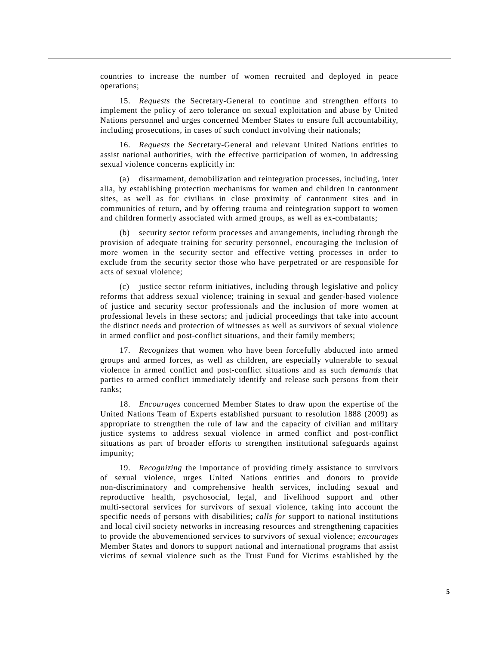countries to increase the number of women recruited and deployed in peace operations;

 15. *Requests* the Secretary-General to continue and strengthen efforts to implement the policy of zero tolerance on sexual exploitation and abuse by United Nations personnel and urges concerned Member States to ensure full accountability, including prosecutions, in cases of such conduct involving their nationals;

 16. *Requests* the Secretary-General and relevant United Nations entities to assist national authorities, with the effective participation of women, in addressing sexual violence concerns explicitly in:

 (a) disarmament, demobilization and reintegration processes, including, inter alia, by establishing protection mechanisms for women and children in cantonment sites, as well as for civilians in close proximity of cantonment sites and in communities of return, and by offering trauma and reintegration support to women and children formerly associated with armed groups, as well as ex-combatants;

 (b) security sector reform processes and arrangements, including through the provision of adequate training for security personnel, encouraging the inclusion of more women in the security sector and effective vetting processes in order to exclude from the security sector those who have perpetrated or are responsible for acts of sexual violence;

 (c) justice sector reform initiatives, including through legislative and policy reforms that address sexual violence; training in sexual and gender-based violence of justice and security sector professionals and the inclusion of more women at professional levels in these sectors; and judicial proceedings that take into account the distinct needs and protection of witnesses as well as survivors of sexual violence in armed conflict and post-conflict situations, and their family members;

 17. *Recognizes* that women who have been forcefully abducted into armed groups and armed forces, as well as children, are especially vulnerable to sexual violence in armed conflict and post-conflict situations and as such *demands* that parties to armed conflict immediately identify and release such persons from their ranks;

 18. *Encourages* concerned Member States to draw upon the expertise of the United Nations Team of Experts established pursuant to resolution 1888 (2009) as appropriate to strengthen the rule of law and the capacity of civilian and military justice systems to address sexual violence in armed conflict and post-conflict situations as part of broader efforts to strengthen institutional safeguards against impunity;

 19. *Recognizing* the importance of providing timely assistance to survivors of sexual violence, urges United Nations entities and donors to provide non-discriminatory and comprehensive health services, including sexual and reproductive health, psychosocial, legal, and livelihood support and other multi-sectoral services for survivors of sexual violence, taking into account the specific needs of persons with disabilities; *calls for* support to national institutions and local civil society networks in increasing resources and strengthening capacities to provide the abovementioned services to survivors of sexual violence; *encourages* Member States and donors to support national and international programs that assist victims of sexual violence such as the Trust Fund for Victims established by the